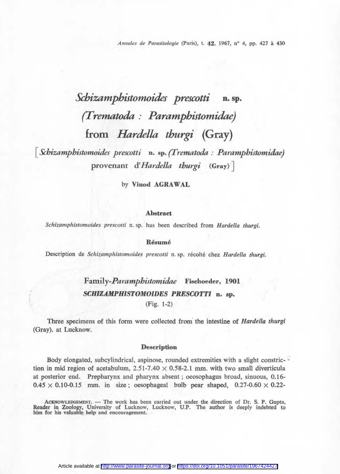*Annales de Parasitologie* (Paris), t. 42, 1967, n° 4, pp. 427 à 430

# *Schizamphistomoides prescotti* **n. sp.** *(Trematoda : Paramphistomidae)* **from** *Hardella thurgi* **(Gray)**

**[** *Schizamphistomoides prescotti* **n.** sp. *(Trematoda : Paramphistomidae)* provenant d'*Hardella thurgi* (Gray)<sup>-</sup>

by **Vinod AGRAWAL**

#### **Abstract**

*Schizamphistomoides prescotti* n. sp. has been described from *Hardella thurgi.*

#### **Résumé**

Description de *Schizamphistomoides prescotti* n. sp. récolté chez *Hardella thurgi.*

## **F amily-Pa***ramphistomidae* **Fischoeder, 1901** *SCHIZAMPHISTOMOIDES PRESCOTTI* **n. sp.**

(Fig. 1-2)

Three specimens of this form were collected from the intestine of *Hardella thurgi* (Gray), at Lucknow.

#### **Description**

Body elongated, subcylindrical, aspinose, rounded extremities with a slight constriction in mid region of acetabulum,  $2.51-7.40 \times 0.58-2.1$  mm. with two small diverticula at posterior end. Prepharynx and pharynx absent ; oeosophagus broad, sinuous, 0.16-  $0.45 \times 0.10$ -0.15 mm. in size; oesophageal bulb pear shaped,  $0.27$ -0.60  $\times$  0.22-

ACKNOWLEDGEMENT. — The work has been carried out under the direction of Dr. S. P. Gupta, Reader in Zoology, University of Lucknow, Lucknow, U.P. The author is deeply indebted to him for his valuable; help and encouragement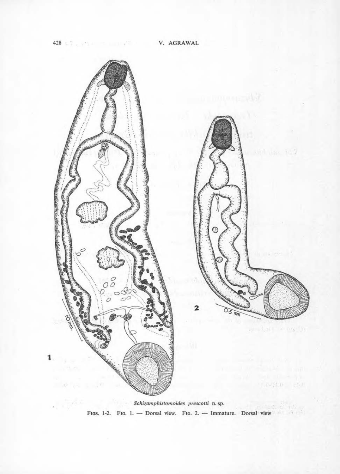

FIGS. 1-2. FIG. 1. - Dorsal view. FIG. 2. - Immature. Dorsal view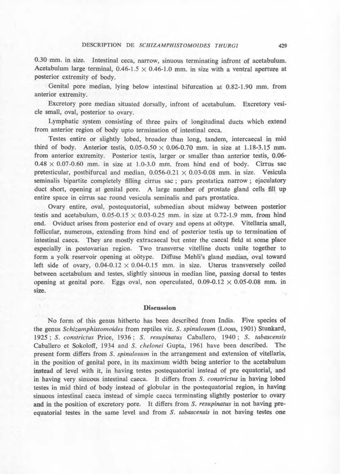0.30 mm. in size. Intestinal ceca, narrow, sinuous terminating infront of acetabulum. Acetabulum large terminal,  $0.46-1.5 \times 0.46-1.0$  mm. in size with a ventral aperture at posterior extremity of body.

Genital pore median, lying below intestinal bifurcation at 0.82-1.90 mm. from anterior extremity.

Excretory pore median situated dorsally, infront of acetabulum. Excretory vesicle small, oval, posterior to ovary.

Lymphatic system consisting of three pairs of longitudinal ducts which extend from anterior region of body upto termination of intestinal ceca.

Testes entire or slightly lobed, broader than long, tandem, intercaecal in mid third of body. Anterior testis,  $0.05{\text -}0.50 \times 0.06{\text -}0.70$  mm. in size at 1.18-3.15 mm. from anterior extremity. Posterior testis, larger or smaller than anterior testis, 0.06-  $0.48 \times 0.07$ -0.60 mm. in size at 1.0-3.0 mm. from hind end of body. Cirrus sac pretesticular, postbifurcal and median,  $0.056$ -0.21  $\times$  0.03-0.08 mm. in size. Vesicula seminalis bipartite completely filling cirrus sac ; pars prostatica narrow ; ejaculatory duct short, opening at genital pore. A large number of prostate gland cells fill up entire space in cirrus sac round vesicula seminalis and pars prostatica.

Ovary entire, oval, postequatorial, submedian about midway between posterior testis and acetabulum,  $0.05 - 0.15 \times 0.03 - 0.25$  mm. in size at 0.72-1.9 mm. from hind end. Oviduct arises from posterior end of ovary and opens at oötype. Vitellaria small, follicular, numerous, extending from hind end of posterior testis up to termination of intestinal caeca. They are mostly extracaecal but enter the caecal field at some place especially in postovarian region. Two transverse vitelline ducts unite together to form a yolk reservoir opening at oötype. Diffuse Mehli's gland median, oval toward left side of ovary,  $0.04$ - $0.12 \times 0.04$ - $0.15$  mm. in size. Uterus transversely coiled between acetabulum and testes, slightly sinuous in median line, passing dorsal to testes opening at genital pore. Eggs oval, non operculated,  $0.09-0.12 \times 0.05-0.08$  mm. in size.

#### **Discussion**

No form of this genus hitherto has been described from India. Five species of the genus *Schizamphistomoides* from reptiles viz. *S. spinulosum* (Looss, 1901) Stunkard, 1925 ; *S. constrictus* Price, 1936 ; *S. resupinatus* Caballero, 1940 ; *S. tabascensis* Caballero et Sokoloff, 1934 and *S. chelonei* Gupta, 1961 have been described. The present form differs from *S. spinulosum* in the arrangement and extension of vitellaria, in the position of genital pore, in its maximum width being anterior to the acetabulum instead of level with it, in having testes postequatorial instead of pre equatorial, and in having very sinuous intestinal caeca. It differs from *S. constrictus* in having lobed testes in mid third of body instead of globular in the postequatorial region, in having sinuous intestinal caeca instead of simple caeca terminating slightly posterior to ovary and in the position of excretory pore. It differs from *S. resupinatus* in not having preequatorial testes in the same level and from *S. tabascensis* in not having testes one